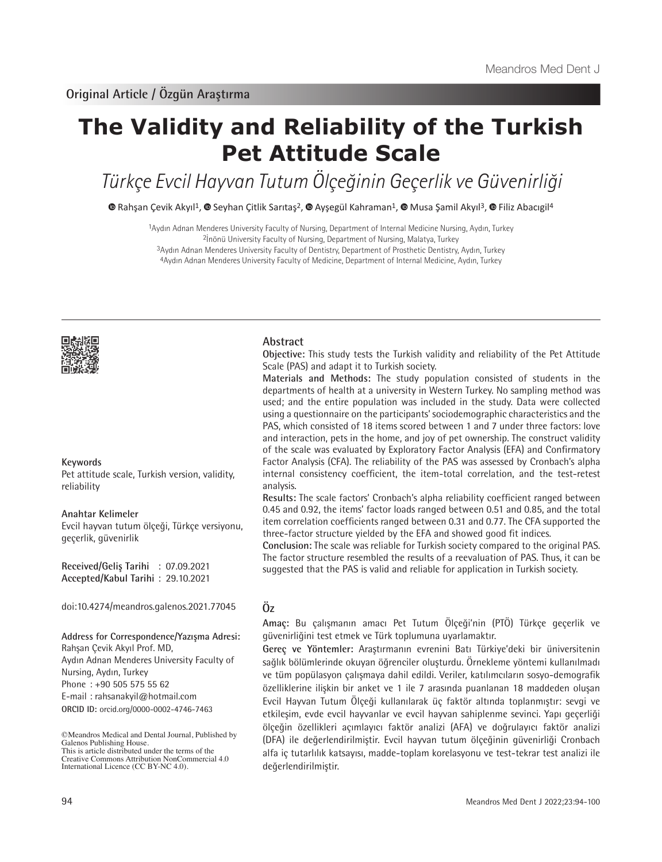# **The Validity and Reliability of the Turkish Pet Attitude Scale**

Türkçe Evcil Hayvan Tutum Ölçeğinin Geçerlik ve Güvenirliği

**©** [R](https://orcid.org/0000-0002-4746-7463)ahşan Çevik Akyıl<sup>1</sup>[,](https://orcid.org/0000-0003-2519-0261) <sup>©</sup>Seyhan Çitlik Sarıtaş<sup>2</sup>, <sup>©</sup> Ayşegül Kahraman<sup>1</sup>, © Musa Şamil Akyıl<sup>3</sup>, © Filiz Abacıgil<sup>4</sup>

Aydın Adnan Menderes University Faculty of Nursing, Department of Internal Medicine Nursing, Aydın, Turkey İnönü University Faculty of Nursing, Department of Nursing, Malatya, Turkey Aydın Adnan Menderes University Faculty of Dentistry, Department of Prosthetic Dentistry, Aydın, Turkey Aydın Adnan Menderes University Faculty of Medicine, Department of Internal Medicine, Aydın, Turkey



## **Keywords**

Pet attitude scale, Turkish version, validity, reliability

#### **Anahtar Kelimeler**

Evcil hayvan tutum ölçeği, Türkçe versiyonu, geçerlik, güvenirlik

**Received/Geliş Tarihi** : 07.09.2021 **Accepted/Kabul Tarihi** : 29.10.2021

doi:10.4274/meandros.galenos.2021.77045

#### **Address for Correspondence/Yazışma Adresi:**

**ORCID ID:** orcid.org/0000-0002-4746-7463 Rahşan Çevik Akyıl Prof. MD, Aydın Adnan Menderes University Faculty of Nursing, Aydın, Turkey Phone : +90 505 575 55 62 E-mail : rahsanakyil@hotmail.com

©Meandros Medical and Dental Journal, Published by Galenos Publishing House. This is article distributed under the terms of the

## **Abstract**

**Objective:** This study tests the Turkish validity and reliability of the Pet Attitude Scale (PAS) and adapt it to Turkish society.

**Materials and Methods:** The study population consisted of students in the departments of health at a university in Western Turkey. No sampling method was used; and the entire population was included in the study. Data were collected using a questionnaire on the participants' sociodemographic characteristics and the PAS, which consisted of 18 items scored between 1 and 7 under three factors: love and interaction, pets in the home, and joy of pet ownership. The construct validity of the scale was evaluated by Exploratory Factor Analysis (EFA) and Confirmatory Factor Analysis (CFA). The reliability of the PAS was assessed by Cronbach's alpha internal consistency coefficient, the item-total correlation, and the test-retest analysis.

**Results:** The scale factors' Cronbach's alpha reliability coefficient ranged between 0.45 and 0.92, the items' factor loads ranged between 0.51 and 0.85, and the total item correlation coefficients ranged between 0.31 and 0.77. The CFA supported the three-factor structure yielded by the EFA and showed good fit indices.

**Conclusion:** The scale was reliable for Turkish society compared to the original PAS. The factor structure resembled the results of a reevaluation of PAS. Thus, it can be suggested that the PAS is valid and reliable for application in Turkish society.

# **Öz**

**Amaç:** Bu çalışmanın amacı Pet Tutum Ölçeği'nin (PTÖ) Türkçe geçerlik ve güvenirliğini test etmek ve Türk toplumuna uyarlamaktır.

**Gereç ve Yöntemler:** Araştırmanın evrenini Batı Türkiye'deki bir üniversitenin sağlık bölümlerinde okuyan öğrenciler oluşturdu. Örnekleme yöntemi kullanılmadı ve tüm popülasyon çalışmaya dahil edildi. Veriler, katılımcıların sosyo-demografik özelliklerine ilişkin bir anket ve 1 ile 7 arasında puanlanan 18 maddeden oluşan Evcil Hayvan Tutum Ölçeği kullanılarak üç faktör altında toplanmıştır: sevgi ve etkileşim, evde evcil hayvanlar ve evcil hayvan sahiplenme sevinci. Yapı geçerliği ölçeğin özellikleri açımlayıcı faktör analizi (AFA) ve doğrulayıcı faktör analizi (DFA) ile değerlendirilmiştir. Evcil hayvan tutum ölçeğinin güvenirliği Cronbach alfa iç tutarlılık katsayısı, madde-toplam korelasyonu ve test-tekrar test analizi ile değerlendirilmiştir.

Creative Commons Attribution NonCommercial 4.0 International Licence (CC BY-NC 4.0).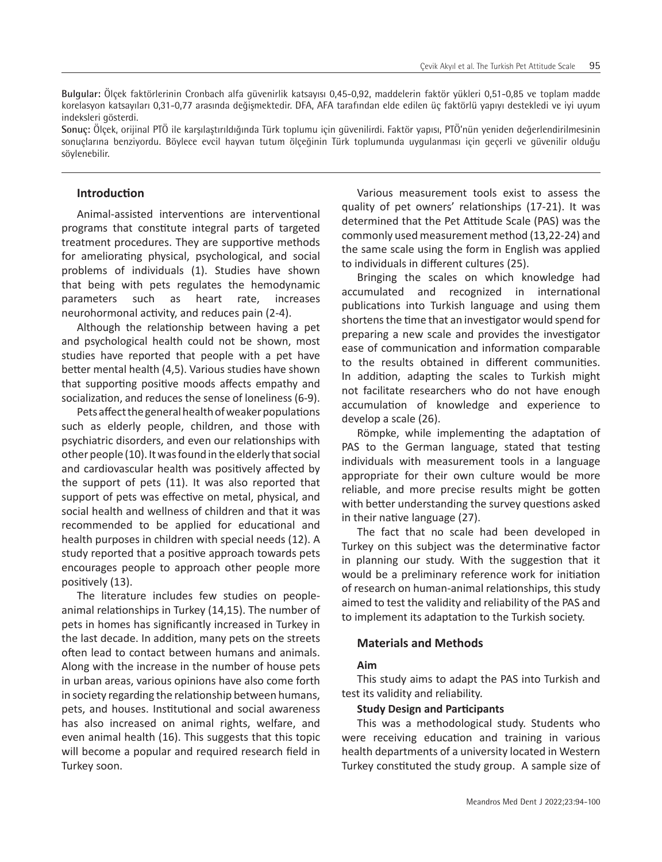**Bulgular:** Ölçek faktörlerinin Cronbach alfa güvenirlik katsayısı 0,45-0,92, maddelerin faktör yükleri 0,51-0,85 ve toplam madde korelasyon katsayıları 0,31-0,77 arasında değişmektedir. DFA, AFA tarafından elde edilen üç faktörlü yapıyı destekledi ve iyi uyum indeksleri gösterdi.

**Sonuç:** Ölçek, orijinal PTÖ ile karşılaştırıldığında Türk toplumu için güvenilirdi. Faktör yapısı, PTÖ'nün yeniden değerlendirilmesinin sonuçlarına benziyordu. Böylece evcil hayvan tutum ölçeğinin Türk toplumunda uygulanması için geçerli ve güvenilir olduğu söylenebilir.

## **Introduction**

Animal-assisted interventions are interventional programs that constitute integral parts of targeted treatment procedures. They are supportive methods for ameliorating physical, psychological, and social problems of individuals (1). Studies have shown that being with pets regulates the hemodynamic parameters such as heart rate, increases neurohormonal activity, and reduces pain (2-4).

Although the relationship between having a pet and psychological health could not be shown, most studies have reported that people with a pet have better mental health (4,5). Various studies have shown that supporting positive moods affects empathy and socialization, and reduces the sense of loneliness (6-9).

Pets affect the general health of weaker populations such as elderly people, children, and those with psychiatric disorders, and even our relationships with other people (10). It was found in the elderly that social and cardiovascular health was positively affected by the support of pets (11). It was also reported that support of pets was effective on metal, physical, and social health and wellness of children and that it was recommended to be applied for educational and health purposes in children with special needs (12). A study reported that a positive approach towards pets encourages people to approach other people more positively (13).

The literature includes few studies on peopleanimal relationships in Turkey (14,15). The number of pets in homes has significantly increased in Turkey in the last decade. In addition, many pets on the streets often lead to contact between humans and animals. Along with the increase in the number of house pets in urban areas, various opinions have also come forth in society regarding the relationship between humans, pets, and houses. Institutional and social awareness has also increased on animal rights, welfare, and even animal health (16). This suggests that this topic will become a popular and required research field in Turkey soon.

Various measurement tools exist to assess the quality of pet owners' relationships (17-21). It was determined that the Pet Attitude Scale (PAS) was the commonly used measurement method (13,22-24) and the same scale using the form in English was applied to individuals in different cultures (25).

Bringing the scales on which knowledge had accumulated and recognized in international publications into Turkish language and using them shortens the time that an investigator would spend for preparing a new scale and provides the investigator ease of communication and information comparable to the results obtained in different communities. In addition, adapting the scales to Turkish might not facilitate researchers who do not have enough accumulation of knowledge and experience to develop a scale (26).

Römpke, while implementing the adaptation of PAS to the German language, stated that testing individuals with measurement tools in a language appropriate for their own culture would be more reliable, and more precise results might be gotten with better understanding the survey questions asked in their native language (27).

The fact that no scale had been developed in Turkey on this subject was the determinative factor in planning our study. With the suggestion that it would be a preliminary reference work for initiation of research on human-animal relationships, this study aimed to test the validity and reliability of the PAS and to implement its adaptation to the Turkish society.

#### **Materials and Methods**

## **Aim**

This study aims to adapt the PAS into Turkish and test its validity and reliability.

## **Study Design and Participants**

This was a methodological study. Students who were receiving education and training in various health departments of a university located in Western Turkey constituted the study group. A sample size of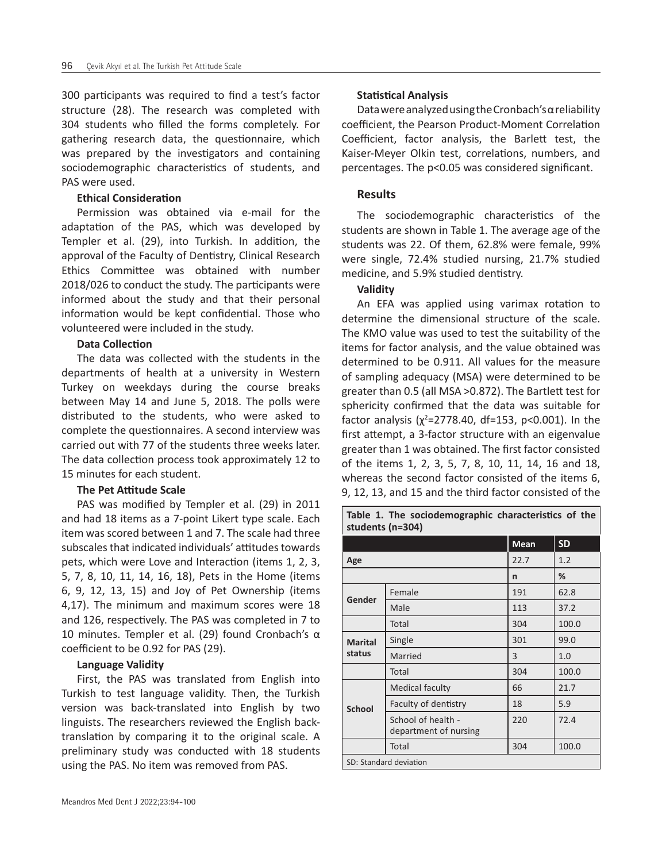300 participants was required to find a test's factor structure (28). The research was completed with 304 students who filled the forms completely. For gathering research data, the questionnaire, which was prepared by the investigators and containing sociodemographic characteristics of students, and PAS were used.

## **Ethical Consideration**

Permission was obtained via e-mail for the adaptation of the PAS, which was developed by Templer et al. (29), into Turkish. In addition, the approval of the Faculty of Dentistry, Clinical Research Ethics Committee was obtained with number 2018/026 to conduct the study. The participants were informed about the study and that their personal information would be kept confidential. Those who volunteered were included in the study.

## **Data Collection**

The data was collected with the students in the departments of health at a university in Western Turkey on weekdays during the course breaks between May 14 and June 5, 2018. The polls were distributed to the students, who were asked to complete the questionnaires. A second interview was carried out with 77 of the students three weeks later. The data collection process took approximately 12 to 15 minutes for each student.

#### **The Pet Attitude Scale**

PAS was modified by Templer et al. (29) in 2011 and had 18 items as a 7-point Likert type scale. Each item was scored between 1 and 7. The scale had three subscales that indicated individuals' attitudes towards pets, which were Love and Interaction (items 1, 2, 3, 5, 7, 8, 10, 11, 14, 16, 18), Pets in the Home (items 6, 9, 12, 13, 15) and Joy of Pet Ownership (items 4,17). The minimum and maximum scores were 18 and 126, respectively. The PAS was completed in 7 to 10 minutes. Templer et al. (29) found Cronbach's α coefficient to be 0.92 for PAS (29).

#### **Language Validity**

First, the PAS was translated from English into Turkish to test language validity. Then, the Turkish version was back-translated into English by two linguists. The researchers reviewed the English backtranslation by comparing it to the original scale. A preliminary study was conducted with 18 students using the PAS. No item was removed from PAS.

#### **Statistical Analysis**

Data were analyzed using the Cronbach's α reliability coefficient, the Pearson Product-Moment Correlation Coefficient, factor analysis, the Barlett test, the Kaiser-Meyer Olkin test, correlations, numbers, and percentages. The p<0.05 was considered significant.

# **Results**

The sociodemographic characteristics of the students are shown in Table 1. The average age of the students was 22. Of them, 62.8% were female, 99% were single, 72.4% studied nursing, 21.7% studied medicine, and 5.9% studied dentistry.

#### **Validity**

An EFA was applied using varimax rotation to determine the dimensional structure of the scale. The KMO value was used to test the suitability of the items for factor analysis, and the value obtained was determined to be 0.911. All values for the measure of sampling adequacy (MSA) were determined to be greater than 0.5 (all MSA >0.872). The Bartlett test for sphericity confirmed that the data was suitable for factor analysis ( $\chi^2$ =2778.40, df=153, p<0.001). In the first attempt, a 3-factor structure with an eigenvalue greater than 1 was obtained. The first factor consisted of the items 1, 2, 3, 5, 7, 8, 10, 11, 14, 16 and 18, whereas the second factor consisted of the items 6, 9, 12, 13, and 15 and the third factor consisted of the

**Table 1. The sociodemographic characteristics of the students (n=304)**

|                          |                                             | <b>Mean</b> | <b>SD</b> |  |  |
|--------------------------|---------------------------------------------|-------------|-----------|--|--|
| Age                      |                                             | 22.7        | 1.2       |  |  |
|                          |                                             | n           | %         |  |  |
| Gender                   | Female                                      | 191         | 62.8      |  |  |
|                          | Male                                        | 113         | 37.2      |  |  |
|                          | Total                                       | 304         | 100.0     |  |  |
| <b>Marital</b><br>status | Single                                      | 301         | 99.0      |  |  |
|                          | Married                                     | 3           | 1.0       |  |  |
|                          | Total                                       | 304         | 100.0     |  |  |
| <b>School</b>            | <b>Medical faculty</b>                      | 66          | 21.7      |  |  |
|                          | Faculty of dentistry                        | 18          | 5.9       |  |  |
|                          | School of health -<br>department of nursing | 220         | 72.4      |  |  |
|                          | Total                                       | 304         | 100.0     |  |  |
| SD: Standard deviation   |                                             |             |           |  |  |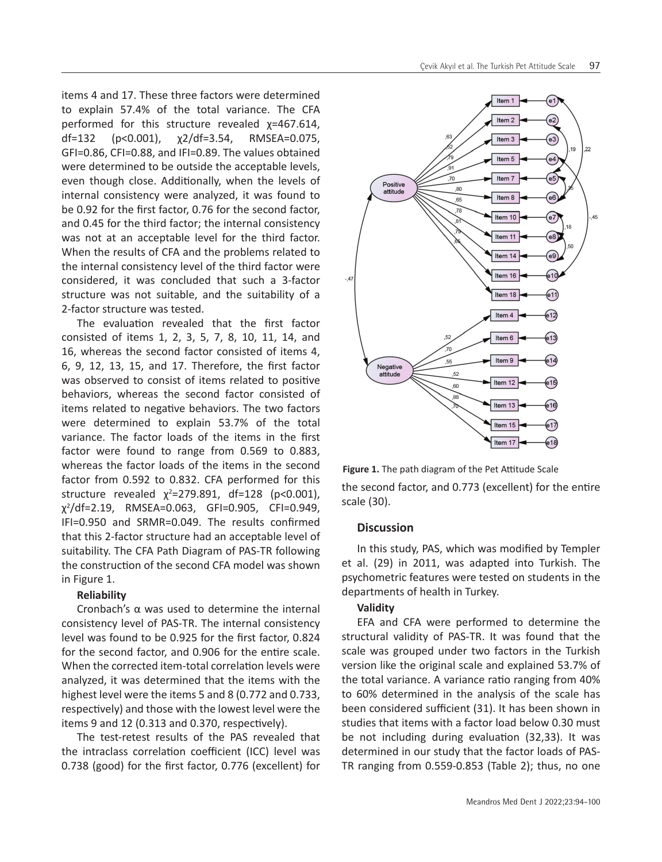items 4 and 17. These three factors were determined to explain 57.4% of the total variance. The CFA performed for this structure revealed χ=467.614, df=132 (p<0.001), χ2/df=3.54, RMSEA=0.075, GFI=0.86, CFI=0.88, and IFI=0.89. The values obtained were determined to be outside the acceptable levels, even though close. Additionally, when the levels of internal consistency were analyzed, it was found to be 0.92 for the first factor, 0.76 for the second factor, and 0.45 for the third factor; the internal consistency was not at an acceptable level for the third factor. When the results of CFA and the problems related to the internal consistency level of the third factor were considered, it was concluded that such a 3-factor structure was not suitable, and the suitability of a 2-factor structure was tested.

The evaluation revealed that the first factor consisted of items 1, 2, 3, 5, 7, 8, 10, 11, 14, and 16, whereas the second factor consisted of items 4, 6, 9, 12, 13, 15, and 17. Therefore, the first factor was observed to consist of items related to positive behaviors, whereas the second factor consisted of items related to negative behaviors. The two factors were determined to explain 53.7% of the total variance. The factor loads of the items in the first factor were found to range from 0.569 to 0.883, whereas the factor loads of the items in the second factor from 0.592 to 0.832. CFA performed for this structure revealed  $\chi^2$ =279.891, df=128 (p<0.001), χ2 /df=2.19, RMSEA=0.063, GFI=0.905, CFI=0.949, IFI=0.950 and SRMR=0.049. The results confirmed that this 2-factor structure had an acceptable level of suitability. The CFA Path Diagram of PAS-TR following the construction of the second CFA model was shown in Figure 1.

## **Reliability**

Cronbach's α was used to determine the internal consistency level of PAS-TR. The internal consistency level was found to be 0.925 for the first factor, 0.824 for the second factor, and 0.906 for the entire scale. When the corrected item-total correlation levels were analyzed, it was determined that the items with the highest level were the items 5 and 8 (0.772 and 0.733, respectively) and those with the lowest level were the items 9 and 12 (0.313 and 0.370, respectively).

The test-retest results of the PAS revealed that the intraclass correlation coefficient (ICC) level was 0.738 (good) for the first factor, 0.776 (excellent) for





#### **Discussion**

In this study, PAS, which was modified by Templer et al. (29) in 2011, was adapted into Turkish. The psychometric features were tested on students in the departments of health in Turkey.

# **Validity**

EFA and CFA were performed to determine the structural validity of PAS-TR. It was found that the scale was grouped under two factors in the Turkish version like the original scale and explained 53.7% of the total variance. A variance ratio ranging from 40% to 60% determined in the analysis of the scale has been considered sufficient (31). It has been shown in studies that items with a factor load below 0.30 must be not including during evaluation (32,33). It was determined in our study that the factor loads of PAS-TR ranging from 0.559-0.853 (Table 2); thus, no one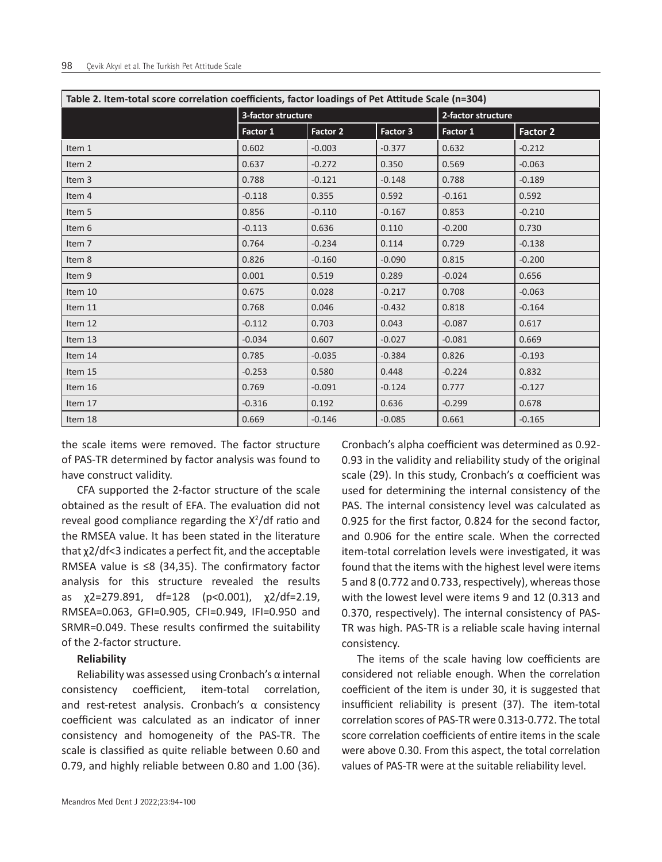| Table 2. Item-total score correlation coefficients, factor loadings of Pet Attitude Scale (n=304) |                    |          |          |                    |          |  |  |  |
|---------------------------------------------------------------------------------------------------|--------------------|----------|----------|--------------------|----------|--|--|--|
|                                                                                                   | 3-factor structure |          |          | 2-factor structure |          |  |  |  |
|                                                                                                   | Factor 1           | Factor 2 | Factor 3 | Factor 1           | Factor 2 |  |  |  |
| Item 1                                                                                            | 0.602              | $-0.003$ | $-0.377$ | 0.632              | $-0.212$ |  |  |  |
| Item 2                                                                                            | 0.637              | $-0.272$ | 0.350    | 0.569              | $-0.063$ |  |  |  |
| Item 3                                                                                            | 0.788              | $-0.121$ | $-0.148$ | 0.788              | $-0.189$ |  |  |  |
| Item 4                                                                                            | $-0.118$           | 0.355    | 0.592    | $-0.161$           | 0.592    |  |  |  |
| Item 5                                                                                            | 0.856              | $-0.110$ | $-0.167$ | 0.853              | $-0.210$ |  |  |  |
| Item 6                                                                                            | $-0.113$           | 0.636    | 0.110    | $-0.200$           | 0.730    |  |  |  |
| Item 7                                                                                            | 0.764              | $-0.234$ | 0.114    | 0.729              | $-0.138$ |  |  |  |
| Item 8                                                                                            | 0.826              | $-0.160$ | $-0.090$ | 0.815              | $-0.200$ |  |  |  |
| Item 9                                                                                            | 0.001              | 0.519    | 0.289    | $-0.024$           | 0.656    |  |  |  |
| Item 10                                                                                           | 0.675              | 0.028    | $-0.217$ | 0.708              | $-0.063$ |  |  |  |
| Item 11                                                                                           | 0.768              | 0.046    | $-0.432$ | 0.818              | $-0.164$ |  |  |  |
| Item 12                                                                                           | $-0.112$           | 0.703    | 0.043    | $-0.087$           | 0.617    |  |  |  |
| Item 13                                                                                           | $-0.034$           | 0.607    | $-0.027$ | $-0.081$           | 0.669    |  |  |  |
| Item 14                                                                                           | 0.785              | $-0.035$ | $-0.384$ | 0.826              | $-0.193$ |  |  |  |
| Item 15                                                                                           | $-0.253$           | 0.580    | 0.448    | $-0.224$           | 0.832    |  |  |  |
| Item 16                                                                                           | 0.769              | $-0.091$ | $-0.124$ | 0.777              | $-0.127$ |  |  |  |
| Item 17                                                                                           | $-0.316$           | 0.192    | 0.636    | $-0.299$           | 0.678    |  |  |  |
| Item 18                                                                                           | 0.669              | $-0.146$ | $-0.085$ | 0.661              | $-0.165$ |  |  |  |

the scale items were removed. The factor structure of PAS-TR determined by factor analysis was found to have construct validity.

CFA supported the 2-factor structure of the scale obtained as the result of EFA. The evaluation did not reveal good compliance regarding the  $X^2$ /df ratio and the RMSEA value. It has been stated in the literature that χ2/df<3 indicates a perfect fit, and the acceptable RMSEA value is ≤8 (34,35). The confirmatory factor analysis for this structure revealed the results as χ2=279.891, df=128 (p<0.001), χ2/df=2.19, RMSEA=0.063, GFI=0.905, CFI=0.949, IFI=0.950 and SRMR=0.049. These results confirmed the suitability of the 2-factor structure.

## **Reliability**

Reliability was assessed using Cronbach's α internal consistency coefficient, item-total correlation, and rest-retest analysis. Cronbach's  $\alpha$  consistency coefficient was calculated as an indicator of inner consistency and homogeneity of the PAS-TR. The scale is classified as quite reliable between 0.60 and 0.79, and highly reliable between 0.80 and 1.00 (36).

Meandros Med Dent J 2022;23:94-100

Cronbach's alpha coefficient was determined as 0.92- 0.93 in the validity and reliability study of the original scale (29). In this study, Cronbach's α coefficient was used for determining the internal consistency of the PAS. The internal consistency level was calculated as 0.925 for the first factor, 0.824 for the second factor, and 0.906 for the entire scale. When the corrected item-total correlation levels were investigated, it was found that the items with the highest level were items 5 and 8 (0.772 and 0.733, respectively), whereas those with the lowest level were items 9 and 12 (0.313 and 0.370, respectively). The internal consistency of PAS-TR was high. PAS-TR is a reliable scale having internal consistency.

The items of the scale having low coefficients are considered not reliable enough. When the correlation coefficient of the item is under 30, it is suggested that insufficient reliability is present (37). The item-total correlation scores of PAS-TR were 0.313-0.772. The total score correlation coefficients of entire items in the scale were above 0.30. From this aspect, the total correlation values of PAS-TR were at the suitable reliability level.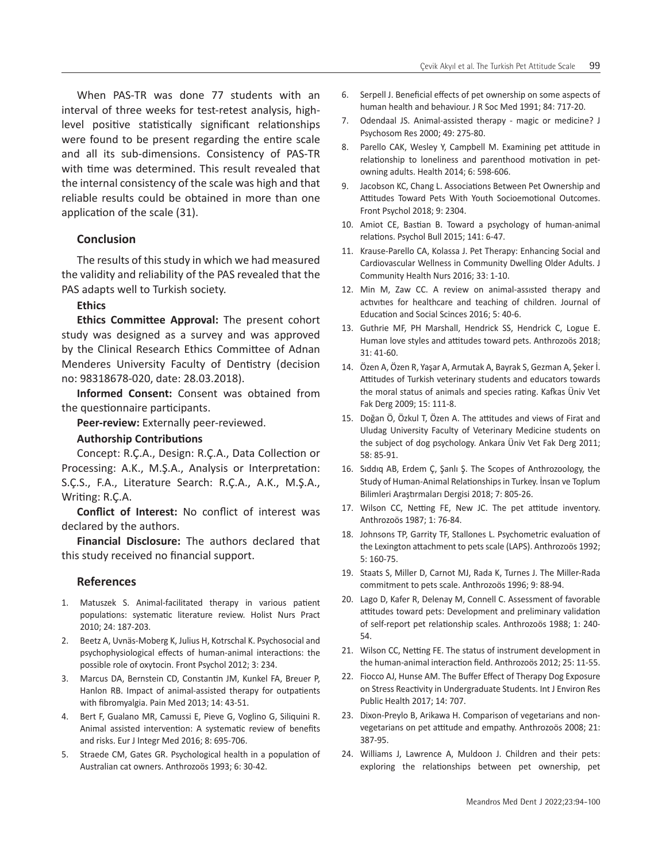When PAS-TR was done 77 students with an interval of three weeks for test-retest analysis, highlevel positive statistically significant relationships were found to be present regarding the entire scale and all its sub-dimensions. Consistency of PAS-TR with time was determined. This result revealed that the internal consistency of the scale was high and that reliable results could be obtained in more than one application of the scale (31).

# **Conclusion**

The results of this study in which we had measured the validity and reliability of the PAS revealed that the PAS adapts well to Turkish society.

# **Ethics**

**Ethics Committee Approval:** The present cohort study was designed as a survey and was approved by the Clinical Research Ethics Committee of Adnan Menderes University Faculty of Dentistry (decision no: 98318678-020, date: 28.03.2018).

**Informed Consent:** Consent was obtained from the questionnaire participants.

**Peer-review:** Externally peer-reviewed.

## **Authorship Contributions**

Concept: R.Ç.A., Design: R.Ç.A., Data Collection or Processing: A.K., M.Ş.A., Analysis or Interpretation: S.Ç.S., F.A., Literature Search: R.Ç.A., A.K., M.Ş.A., Writing: R.Ç.A.

**Conflict of Interest:** No conflict of interest was declared by the authors.

**Financial Disclosure:** The authors declared that this study received no financial support.

## **References**

- 1. Matuszek S. Animal-facilitated therapy in various patient populations: systematic literature review. Holist Nurs Pract 2010; 24: 187-203.
- 2. Beetz A, Uvnäs-Moberg K, Julius H, Kotrschal K. Psychosocial and psychophysiological effects of human-animal interactions: the possible role of oxytocin. Front Psychol 2012; 3: 234.
- 3. Marcus DA, Bernstein CD, Constantin JM, Kunkel FA, Breuer P, Hanlon RB. Impact of animal-assisted therapy for outpatients with fibromyalgia. Pain Med 2013; 14: 43-51.
- 4. Bert F, Gualano MR, Camussi E, Pieve G, Voglino G, Siliquini R. Animal assisted intervention: A systematic review of benefits and risks. Eur J Integr Med 2016; 8: 695-706.
- 5. Straede CM, Gates GR. Psychological health in a population of Australian cat owners. Anthrozoös 1993; 6: 30-42.
- 6. Serpell J. Beneficial effects of pet ownership on some aspects of human health and behaviour. J R Soc Med 1991; 84: 717-20.
- 7. Odendaal JS. Animal-assisted therapy magic or medicine? J Psychosom Res 2000; 49: 275-80.
- 8. Parello CAK, Wesley Y, Campbell M. Examining pet attitude in relationship to loneliness and parenthood motivation in petowning adults. Health 2014; 6: 598-606.
- 9. Jacobson KC, Chang L. Associations Between Pet Ownership and Attitudes Toward Pets With Youth Socioemotional Outcomes. Front Psychol 2018; 9: 2304.
- 10. Amiot CE, Bastian B. Toward a psychology of human-animal relations. Psychol Bull 2015; 141: 6-47.
- 11. Krause-Parello CA, Kolassa J. Pet Therapy: Enhancing Social and Cardiovascular Wellness in Community Dwelling Older Adults. J Community Health Nurs 2016; 33: 1-10.
- 12. Min M, Zaw CC. A review on animal-assısted therapy and activities for healthcare and teaching of children. Journal of Education and Social Scinces 2016; 5: 40-6.
- 13. Guthrie MF, PH Marshall, Hendrick SS, Hendrick C, Logue E. Human love styles and attitudes toward pets. Anthrozoös 2018; 31: 41-60.
- 14. Özen A, Özen R, Yaşar A, Armutak A, Bayrak S, Gezman A, Şeker İ. Attitudes of Turkish veterinary students and educators towards the moral status of animals and species rating. Kafkas Üniv Vet Fak Derg 2009; 15: 111-8.
- 15. Doğan Ö, Özkul T, Özen A. The attitudes and views of Firat and Uludag University Faculty of Veterinary Medicine students on the subject of dog psychology. Ankara Üniv Vet Fak Derg 2011; 58: 85-91.
- 16. Sıddıq AB, Erdem Ç, Şanlı Ş. The Scopes of Anthrozoology, the Study of Human-Animal Relationships in Turkey. İnsan ve Toplum Bilimleri Araştırmaları Dergisi 2018; 7: 805-26.
- 17. Wilson CC, Netting FE, New JC. The pet attitude inventory. Anthrozoös 1987; 1: 76-84.
- 18. Johnsons TP, Garrity TF, Stallones L. Psychometric evaluation of the Lexington attachment to pets scale (LAPS). Anthrozoös 1992; 5: 160-75.
- 19. Staats S, Miller D, Carnot MJ, Rada K, Turnes J. The Miller-Rada commitment to pets scale. Anthrozoös 1996; 9: 88-94.
- 20. Lago D, Kafer R, Delenay M, Connell C. Assessment of favorable attitudes toward pets: Development and preliminary validation of self-report pet relationship scales. Anthrozoös 1988; 1: 240- 54.
- 21. Wilson CC, Netting FE. The status of instrument development in the human-animal interaction field. Anthrozoös 2012; 25: 11-55.
- 22. Fiocco AJ, Hunse AM. The Buffer Effect of Therapy Dog Exposure on Stress Reactivity in Undergraduate Students. Int J Environ Res Public Health 2017; 14: 707.
- 23. Dixon-Preylo B, Arikawa H. Comparison of vegetarians and nonvegetarians on pet attitude and empathy. Anthrozoös 2008; 21: 387-95.
- 24. Williams J, Lawrence A, Muldoon J. Children and their pets: exploring the relationships between pet ownership, pet